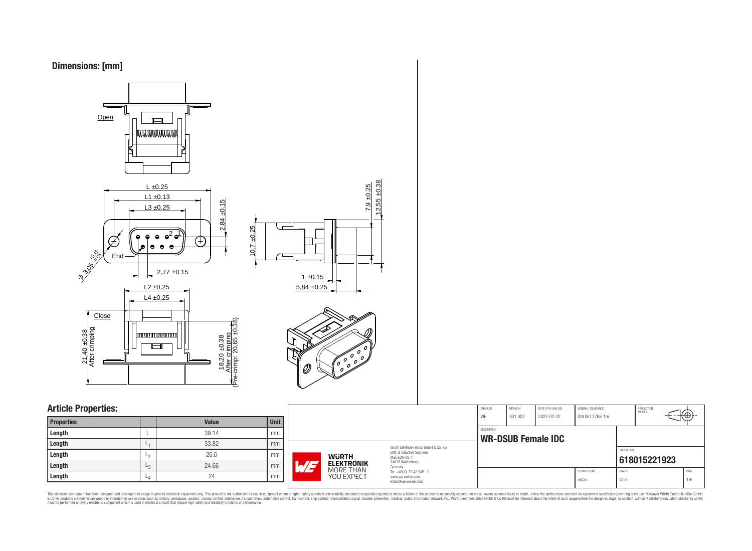



## **Article Properties:**

| <b>Properties</b> |                | <b>Value</b> | <b>Unit</b> |
|-------------------|----------------|--------------|-------------|
| Length            |                | 39.14        | mm          |
| Length            | L <sub>1</sub> | 33.82        | mm          |
| Length            | L <sub>2</sub> | 26.6         | mm          |
| Length            | L3             | 24.66        | mm          |
| Length            | $-4$           | 24           | mm          |

|                                   |                                                                                                                                | CHECKED<br>WF | REVISION<br>001.002 | DATE (YYYY-MM-DD)<br>2022-02-22 | GENERAL TOLERANCE<br>DIN ISO 2768-1m |                        | PROJECTION<br>METHOD | $+ \bigoplus +$ |
|-----------------------------------|--------------------------------------------------------------------------------------------------------------------------------|---------------|---------------------|---------------------------------|--------------------------------------|------------------------|----------------------|-----------------|
|                                   |                                                                                                                                | DESCRIPTION   |                     | <b>WR-DSUB Female IDC</b>       |                                      |                        |                      |                 |
| <b>WURTH</b><br><b>ELEKTRONIK</b> | Würth Flektronik eiSos GmbH & Co. KG<br><b>EMC &amp; Inductive Solutions</b><br>Max-Evth-Str. 1<br>74638 Waldenburg<br>Germany |               |                     |                                 |                                      | ORDER CODE             | 618015221923         |                 |
| MORE THAN<br>YOU EXPECT           | Tel. +49 (0) 79 42 945 - 0<br>www.we-online.com<br>eiSos@we-online.com                                                         |               |                     |                                 | <b>BUSINESS UNIT</b><br>eiCan        | <b>STATUS</b><br>Valid |                      | PAGE<br>1/6     |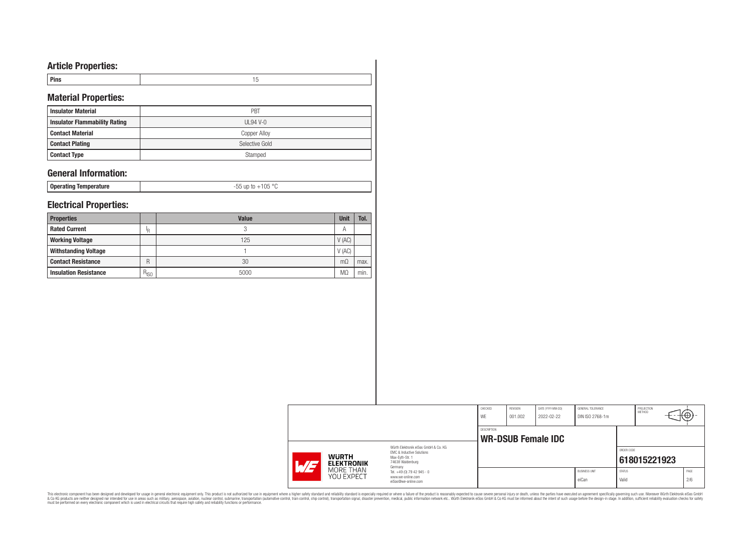# **Article Properties:**

| <b>Pins</b> |  |  |
|-------------|--|--|
|             |  |  |

# **Material Properties:**

| <b>Insulator Material</b>            | PBT            |
|--------------------------------------|----------------|
| <b>Insulator Flammability Rating</b> | UL94 V-0       |
| <b>Contact Material</b>              | Copper Alloy   |
| <b>Contact Plating</b>               | Selective Gold |
| <b>Contact Type</b>                  | Stamped        |

## **General Information:**

**Operating Temperature** -55 up to +105 °C

## **Electrical Properties:**

| <b>Properties</b>            |           | <b>Value</b> | <b>Unit</b> | Tol. |
|------------------------------|-----------|--------------|-------------|------|
| <b>Rated Current</b>         | 'R        | 2            | А           |      |
| <b>Working Voltage</b>       |           | 125          | V(AC)       |      |
| <b>Withstanding Voltage</b>  |           |              | V(AC)       |      |
| <b>Contact Resistance</b>    | R         | 30           | $m\Omega$   | max. |
| <b>Insulation Resistance</b> | $R_{ISO}$ | 5000         | МC          | min. |

|  |                                                   |                                                 | CHECKED<br>WE | <b>REVISION</b><br>001.002 | DATE (YYYY-MM-DD)<br>2022-02-22 | <b>GENERAL TOLERANCE</b><br>DIN ISO 2768-1m |               | PROJECTION<br>METHOD | ₩Ψ   |
|--|---------------------------------------------------|-------------------------------------------------|---------------|----------------------------|---------------------------------|---------------------------------------------|---------------|----------------------|------|
|  |                                                   |                                                 | DESCRIPTION   |                            |                                 |                                             |               |                      |      |
|  |                                                   | Würth Elektronik eiSos GmbH & Co. KG            |               |                            | <b>WR-DSUB Female IDC</b>       |                                             |               |                      |      |
|  | <b>WURTH</b><br><b>ELEKTRONIK</b><br>$\sqrt{1-t}$ | EMC & Inductive Solutions<br>Max-Evth-Str. 1    |               |                            |                                 |                                             | ORDER CODE    | 618015221923         |      |
|  |                                                   | 74638 Waldenburg<br>Germany                     |               |                            |                                 |                                             |               |                      |      |
|  | MORE THAN<br><b>YOU EXPECT</b>                    | Tel. +49 (0) 79 42 945 - 0<br>www.we-online.com |               |                            |                                 | <b>BUSINESS UNIT</b>                        | <b>STATUS</b> |                      | PAGE |
|  |                                                   | eiSos@we-online.com                             |               |                            |                                 | eiCan                                       | Valid         |                      | 2/6  |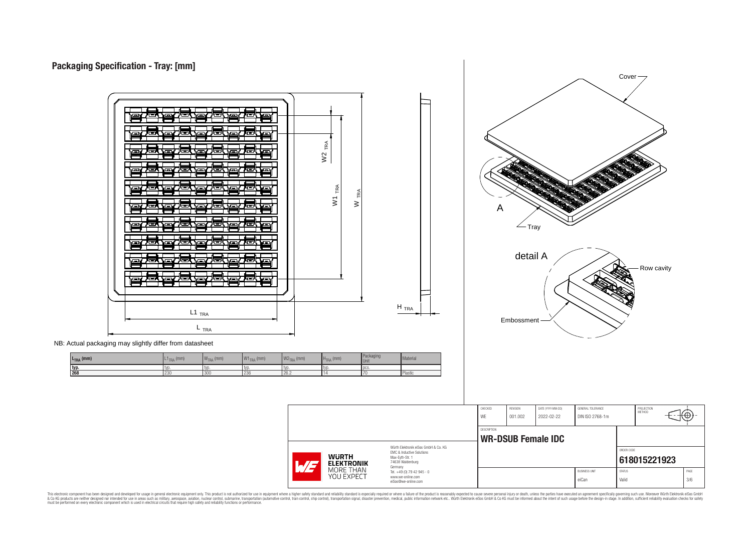



NB: Actual packaging may slightly differ from datasheet

| L <sub>TRA</sub> (mm) | l <sub>TRA</sub> (mm) | M<br>$WTRA$ (mm) | $W1_{TRA}$ (mm) | $W2_{TRA}$ (mm) | $HTRA$ (mm) | Packaging<br>Unit | Material |
|-----------------------|-----------------------|------------------|-----------------|-----------------|-------------|-------------------|----------|
| I typ.                | tvc                   | l tvo            | I tvd           | I tyd           | l tvo       | l pcs.            |          |
| 268                   | 230                   | 300              | 236             | 26.2            |             |                   | Plastic  |

PROJECTION<br>METHOD Θ WE 001.002 2022-02-22 DIN ISO 2768-1m DESCRIPTION **WR-DSUB Female IDC** Würth Elektronik eiSos GmbH & Co. KG ORDER CODE EMC & Inductive Solutions **WURTH** Max-Eyth-Str. 1 **[618015221923](https://www.we-online.com/catalog/en/article/618015221923) ELEKTRONIK** 74638 Waldenburg Germany MORE THAN<br>YOU EXPECT BUSINESS UNIT STATUS STATUS PAGE Tel. +49 (0) 79 42 945 - 0 www.we-online.com eiCan Valid 3/6 eiSos@we-online.com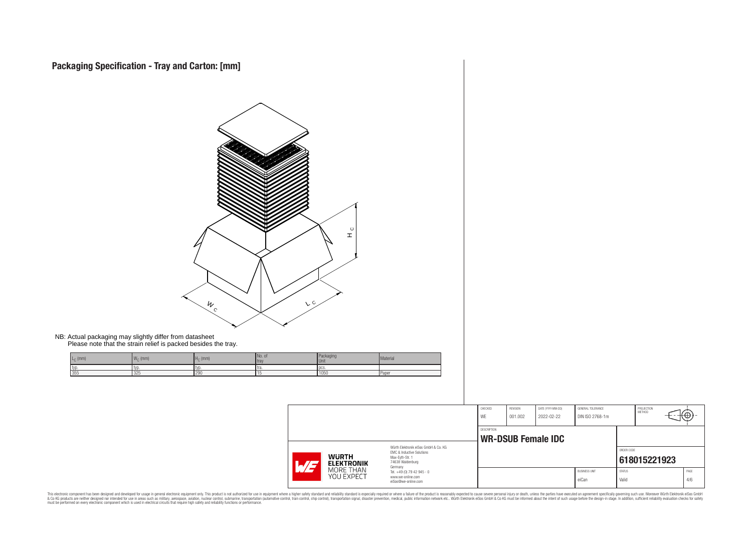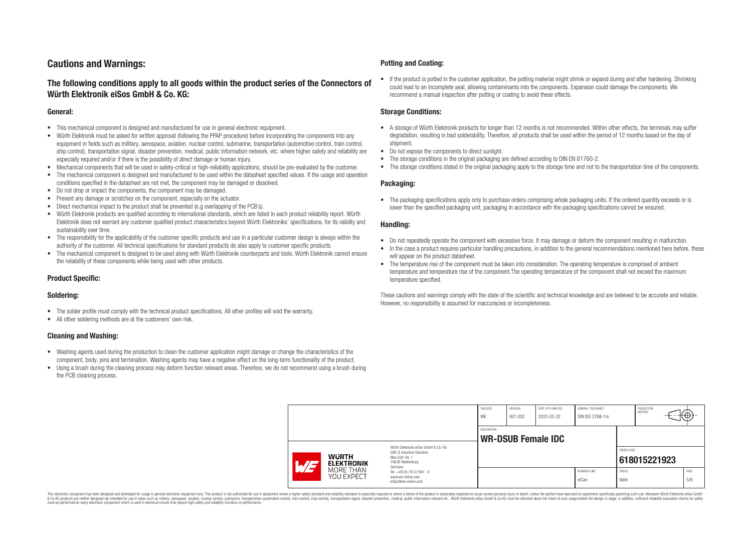# **Cautions and Warnings:**

## **The following conditions apply to all goods within the product series of the Connectors of Würth Elektronik eiSos GmbH & Co. KG:**

#### **General:**

- This mechanical component is designed and manufactured for use in general electronic equipment.
- Würth Elektronik must be asked for written approval (following the PPAP procedure) before incorporating the components into any equipment in fields such as military, aerospace, aviation, nuclear control, submarine, transportation (automotive control, train control, ship control), transportation signal, disaster prevention, medical, public information network, etc. where higher safety and reliability are especially required and/or if there is the possibility of direct damage or human injury.
- Mechanical components that will be used in safety-critical or high-reliability applications, should be pre-evaluated by the customer.
- The mechanical component is designed and manufactured to be used within the datasheet specified values. If the usage and operation conditions specified in the datasheet are not met, the component may be damaged or dissolved.
- Do not drop or impact the components, the component may be damaged.
- Prevent any damage or scratches on the component, especially on the actuator.
- Direct mechanical impact to the product shall be prevented (e.g overlapping of the PCB's).
- Würth Elektronik products are qualified according to international standards, which are listed in each product reliability report. Würth Elektronik does not warrant any customer qualified product characteristics beyond Würth Elektroniks' specifications, for its validity and sustainability over time.
- The responsibility for the applicability of the customer specific products and use in a particular customer design is always within the authority of the customer. All technical specifications for standard products do also apply to customer specific products.
- The mechanical component is designed to be used along with Würth Elektronik counterparts and tools. Würth Elektronik cannot ensure the reliability of these components while being used with other products.

### **Product Specific:**

#### **Soldering:**

- The solder profile must comply with the technical product specifications. All other profiles will void the warranty.
- All other soldering methods are at the customers' own risk.

#### **Cleaning and Washing:**

- Washing agents used during the production to clean the customer application might damage or change the characteristics of the component, body, pins and termination. Washing agents may have a negative effect on the long-term functionality of the product.
- Using a brush during the cleaning process may deform function relevant areas. Therefore, we do not recommend using a brush during the PCB cleaning process.

#### **Potting and Coating:**

• If the product is potted in the customer application, the potting material might shrink or expand during and after hardening. Shrinking could lead to an incomplete seal, allowing contaminants into the components. Expansion could damage the components. We recommend a manual inspection after potting or coating to avoid these effects.

#### **Storage Conditions:**

- A storage of Würth Elektronik products for longer than 12 months is not recommended. Within other effects, the terminals may suffer degradation, resulting in bad solderability. Therefore, all products shall be used within the period of 12 months based on the day of shipment.
- Do not expose the components to direct sunlight.
- The storage conditions in the original packaging are defined according to DIN EN 61760-2.
- The storage conditions stated in the original packaging apply to the storage time and not to the transportation time of the components.

#### **Packaging:**

• The packaging specifications apply only to purchase orders comprising whole packaging units. If the ordered quantity exceeds or is lower than the specified packaging unit, packaging in accordance with the packaging specifications cannot be ensured.

#### **Handling:**

- Do not repeatedly operate the component with excessive force. It may damage or deform the component resulting in malfunction.
- In the case a product requires particular handling precautions, in addition to the general recommendations mentioned here before, these will appear on the product datasheet
- The temperature rise of the component must be taken into consideration. The operating temperature is comprised of ambient temperature and temperature rise of the component.The operating temperature of the component shall not exceed the maximum temperature specified.

These cautions and warnings comply with the state of the scientific and technical knowledge and are believed to be accurate and reliable. However, no responsibility is assumed for inaccuracies or incompleteness.

|                          |                                   |                                                                                                          | CHECKED<br>WE      | <b>REVISION</b><br>001.002 | DATE (YYYY-MM-DD)<br>2022-02-22 | GENERAL TOLERANCE<br>DIN ISO 2768-1m |                        | PROJECTION<br>METHOD | ₩           |
|--------------------------|-----------------------------------|----------------------------------------------------------------------------------------------------------|--------------------|----------------------------|---------------------------------|--------------------------------------|------------------------|----------------------|-------------|
|                          |                                   |                                                                                                          | <b>DESCRIPTION</b> |                            | <b>WR-DSUB Female IDC</b>       |                                      |                        |                      |             |
| $\overline{\phantom{0}}$ | <b>WURTH</b><br><b>ELEKTRONIK</b> | Würth Elektronik eiSos GmbH & Co. KG<br>EMC & Inductive Solutions<br>Max-Eyth-Str. 1<br>74638 Waldenburg |                    |                            |                                 |                                      | ORDER CODE             | 618015221923         |             |
|                          | MORE THAN<br>YOU EXPECT           | Germany<br>Tel. +49 (0) 79 42 945 - 0<br>www.we-online.com<br>eiSos@we-online.com                        |                    |                            |                                 | <b>BUSINESS UNIT</b><br>eiCan        | <b>STATUS</b><br>Valid |                      | PAGE<br>5/6 |

This electronic component has been designed and developed for usage in general electronic equipment only. This product is not authorized for use in equipment where a higher safety standard and reliability standard si espec & Ook product a label and the membed of the seasuch as marked and as which such a membed and the such assume that income in the seasuch and the simulation and the such assume that include to the such a membed and the such